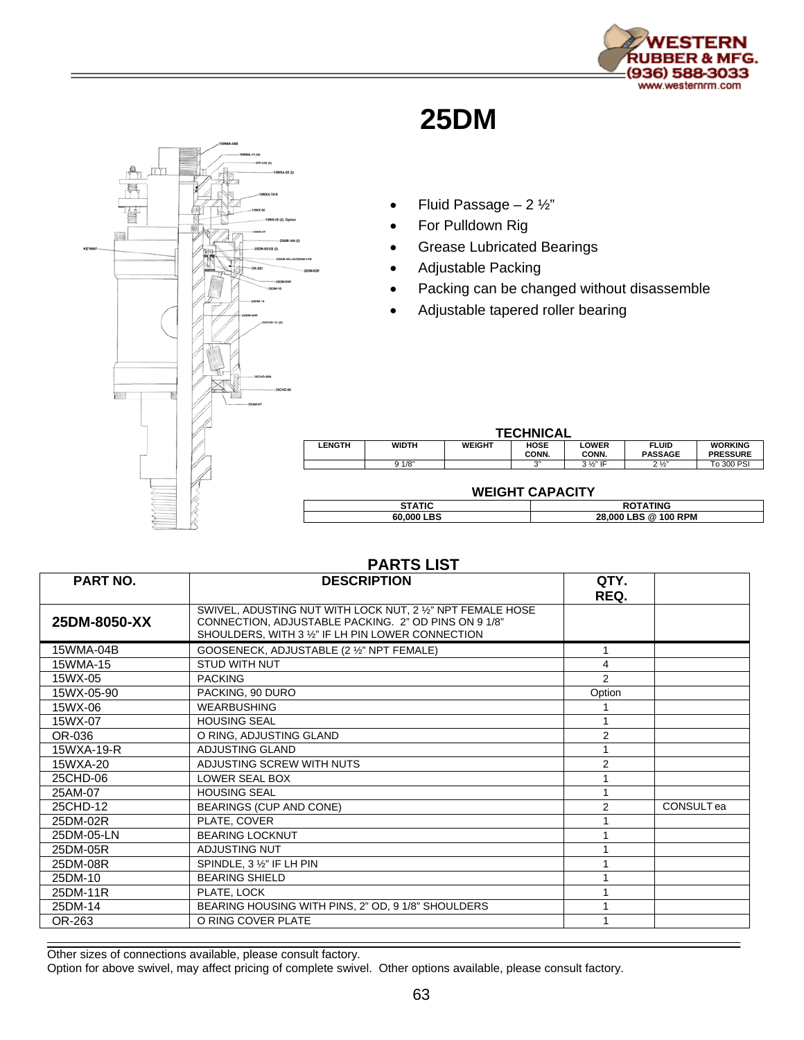

## **25DM**



## • Fluid Passage  $-2\frac{1}{2}$ "

- For Pulldown Rig
- Grease Lubricated Bearings
- Adjustable Packing
- Packing can be changed without disassemble
- Adjustable tapered roller bearing

| <b>TECHNICAL</b> |              |               |                      |                       |                                |                                   |  |  |
|------------------|--------------|---------------|----------------------|-----------------------|--------------------------------|-----------------------------------|--|--|
| LENGTH           | <b>WIDTH</b> | <b>WEIGHT</b> | <b>HOSE</b><br>CONN. | <b>LOWER</b><br>CONN. | <b>FLUID</b><br><b>PASSAGE</b> | <b>WORKING</b><br><b>PRESSURE</b> |  |  |
|                  | 91/8"        |               | יי כי                | $3\frac{1}{2}$ " IF   | $2\frac{1}{2}$                 | To 300 PSI                        |  |  |

## **WEIGHT CAPACITY**

| $\sim$<br>60<br>nnn<br>вs | <b>RPM</b><br>ስበ<br>วฉ<br>0<br>' Ut<br>- 62 |
|---------------------------|---------------------------------------------|

| <b>PART NO.</b> | <b>DESCRIPTION</b>                                                                                                                                                      | QTY.<br>REQ.   |                   |
|-----------------|-------------------------------------------------------------------------------------------------------------------------------------------------------------------------|----------------|-------------------|
| 25DM-8050-XX    | SWIVEL, ADUSTING NUT WITH LOCK NUT, 2 1/2" NPT FEMALE HOSE<br>CONNECTION, ADJUSTABLE PACKING. 2" OD PINS ON 9 1/8"<br>SHOULDERS, WITH 3 1/2" IF LH PIN LOWER CONNECTION |                |                   |
| 15WMA-04B       | GOOSENECK, ADJUSTABLE (2 1/2" NPT FEMALE)                                                                                                                               |                |                   |
| 15WMA-15        | <b>STUD WITH NUT</b>                                                                                                                                                    | 4              |                   |
| 15WX-05         | <b>PACKING</b>                                                                                                                                                          | 2              |                   |
| 15WX-05-90      | PACKING, 90 DURO                                                                                                                                                        | Option         |                   |
| 15WX-06         | <b>WEARBUSHING</b>                                                                                                                                                      |                |                   |
| 15WX-07         | <b>HOUSING SEAL</b>                                                                                                                                                     |                |                   |
| OR-036          | O RING, ADJUSTING GLAND                                                                                                                                                 | $\overline{2}$ |                   |
| 15WXA-19-R      | ADJUSTING GLAND                                                                                                                                                         |                |                   |
| 15WXA-20        | ADJUSTING SCREW WITH NUTS                                                                                                                                               | $\overline{2}$ |                   |
| 25CHD-06        | LOWER SEAL BOX                                                                                                                                                          |                |                   |
| 25AM-07         | <b>HOUSING SEAL</b>                                                                                                                                                     |                |                   |
| 25CHD-12        | <b>BEARINGS (CUP AND CONE)</b>                                                                                                                                          | $\overline{2}$ | <b>CONSULT</b> ea |
| 25DM-02R        | PLATE, COVER                                                                                                                                                            |                |                   |
| 25DM-05-LN      | <b>BEARING LOCKNUT</b>                                                                                                                                                  |                |                   |
| 25DM-05R        | <b>ADJUSTING NUT</b>                                                                                                                                                    |                |                   |
| 25DM-08R        | SPINDLE, 3 1/2" IF LH PIN                                                                                                                                               |                |                   |
| 25DM-10         | <b>BEARING SHIELD</b>                                                                                                                                                   |                |                   |
| 25DM-11R        | PLATE, LOCK                                                                                                                                                             |                |                   |
| 25DM-14         | BEARING HOUSING WITH PINS, 2" OD, 9 1/8" SHOULDERS                                                                                                                      |                |                   |
| OR-263          | O RING COVER PLATE                                                                                                                                                      |                |                   |

**PARTS LIST** 

Other sizes of connections available, please consult factory.

Option for above swivel, may affect pricing of complete swivel. Other options available, please consult factory.